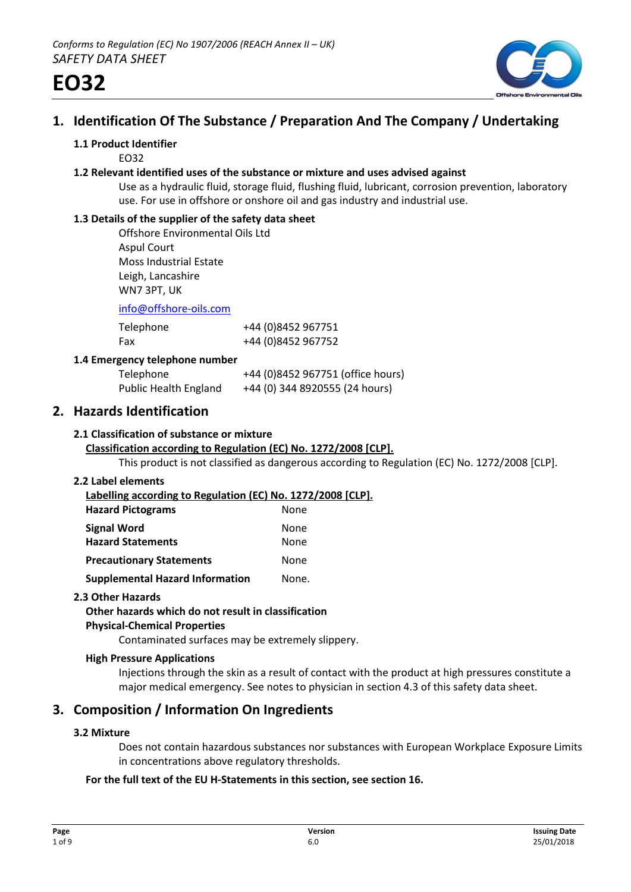

# **1. Identification Of The Substance / Preparation And The Company / Undertaking**

#### **1.1 Product Identifier**

EO32

#### **1.2 Relevant identified uses of the substance or mixture and uses advised against**

Use as a hydraulic fluid, storage fluid, flushing fluid, lubricant, corrosion prevention, laboratory use. For use in offshore or onshore oil and gas industry and industrial use.

#### **1.3 Details of the supplier of the safety data sheet**

Offshore Environmental Oils Ltd Aspul Court Moss Industrial Estate Leigh, Lancashire WN7 3PT, UK

info@offshore-oils.com

| Telephone | +44 (0)8452 967751 |
|-----------|--------------------|
| Fax       | +44 (0)8452 967752 |

#### **1.4 Emergency telephone number**

| Telephone                    | +44 (0)8452 967751 (office hours) |
|------------------------------|-----------------------------------|
| <b>Public Health England</b> | +44 (0) 344 8920555 (24 hours)    |

# **2. Hazards Identification**

#### **2.1 Classification of substance or mixture**

## **Classification according to Regulation (EC) No. 1272/2008 [CLP].**

This product is not classified as dangerous according to Regulation (EC) No. 1272/2008 [CLP].

#### **2.2 Label elements**

**Labelling according to Regulation (EC) No. 1272/2008 [CLP]. Hazard Pictograms** None **Signal Word** None

| JIRIIAI VVULU                   | 110116 |
|---------------------------------|--------|
| <b>Hazard Statements</b>        | None   |
| <b>Precautionary Statements</b> | None   |
|                                 |        |

**Supplemental Hazard Information Mone.** 

#### **2.3 Other Hazards**

# **Other hazards which do not result in classification**

## **Physical-Chemical Properties**

Contaminated surfaces may be extremely slippery.

#### **High Pressure Applications**

Injections through the skin as a result of contact with the product at high pressures constitute a major medical emergency. See notes to physician in section 4.3 of this safety data sheet.

# **3. Composition / Information On Ingredients**

## **3.2 Mixture**

Does not contain hazardous substances nor substances with European Workplace Exposure Limits in concentrations above regulatory thresholds.

## **For the full text of the EU H-Statements in this section, see section 16.**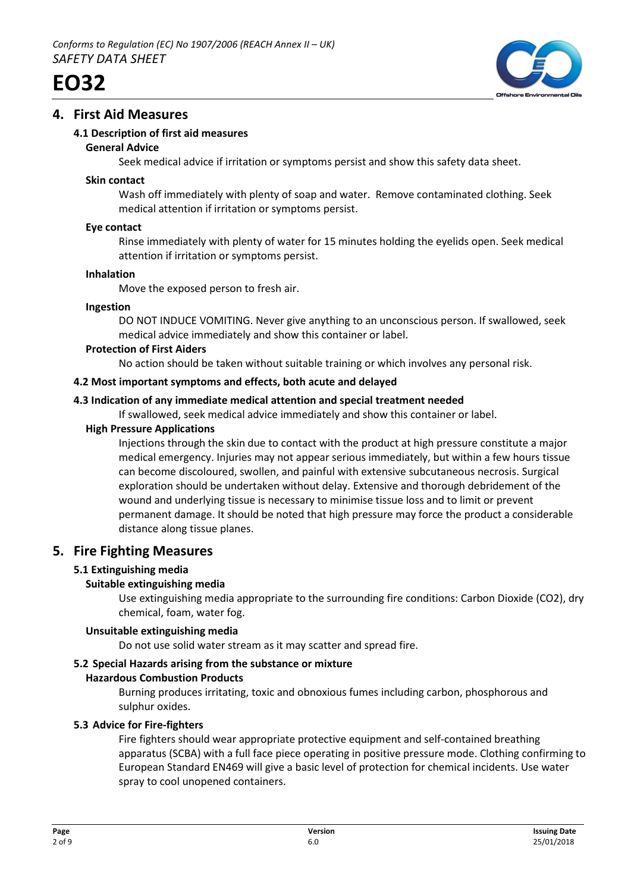



# **4. First Aid Measures**

## **4.1 Description of first aid measures**

#### **General Advice**

Seek medical advice if irritation or symptoms persist and show this safety data sheet.

#### **Skin contact**

Wash off immediately with plenty of soap and water. Remove contaminated clothing. Seek medical attention if irritation or symptoms persist.

#### **Eye contact**

Rinse immediately with plenty of water for 15 minutes holding the eyelids open. Seek medical attention if irritation or symptoms persist.

#### **Inhalation**

Move the exposed person to fresh air.

#### **Ingestion**

DO NOT INDUCE VOMITING. Never give anything to an unconscious person. If swallowed, seek medical advice immediately and show this container or label.

#### **Protection of First Aiders**

No action should be taken without suitable training or which involves any personal risk.

#### **4.2 Most important symptoms and effects, both acute and delayed**

## **4.3 Indication of any immediate medical attention and special treatment needed**

If swallowed, seek medical advice immediately and show this container or label.

#### **High Pressure Applications**

Injections through the skin due to contact with the product at high pressure constitute a major medical emergency. Injuries may not appear serious immediately, but within a few hours tissue can become discoloured, swollen, and painful with extensive subcutaneous necrosis. Surgical exploration should be undertaken without delay. Extensive and thorough debridement of the wound and underlying tissue is necessary to minimise tissue loss and to limit or prevent permanent damage. It should be noted that high pressure may force the product a considerable distance along tissue planes.

# **5. Fire Fighting Measures**

## **5.1 Extinguishing media**

## **Suitable extinguishing media**

Use extinguishing media appropriate to the surrounding fire conditions: Carbon Dioxide (CO2), dry chemical, foam, water fog.

## **Unsuitable extinguishing media**

Do not use solid water stream as it may scatter and spread fire.

## **5.2 Special Hazards arising from the substance or mixture**

## **Hazardous Combustion Products**

Burning produces irritating, toxic and obnoxious fumes including carbon, phosphorous and sulphur oxides.

## **5.3 Advice for Fire-fighters**

Fire fighters should wear appropriate protective equipment and self-contained breathing apparatus (SCBA) with a full face piece operating in positive pressure mode. Clothing confirming to European Standard EN469 will give a basic level of protection for chemical incidents. Use water spray to cool unopened containers.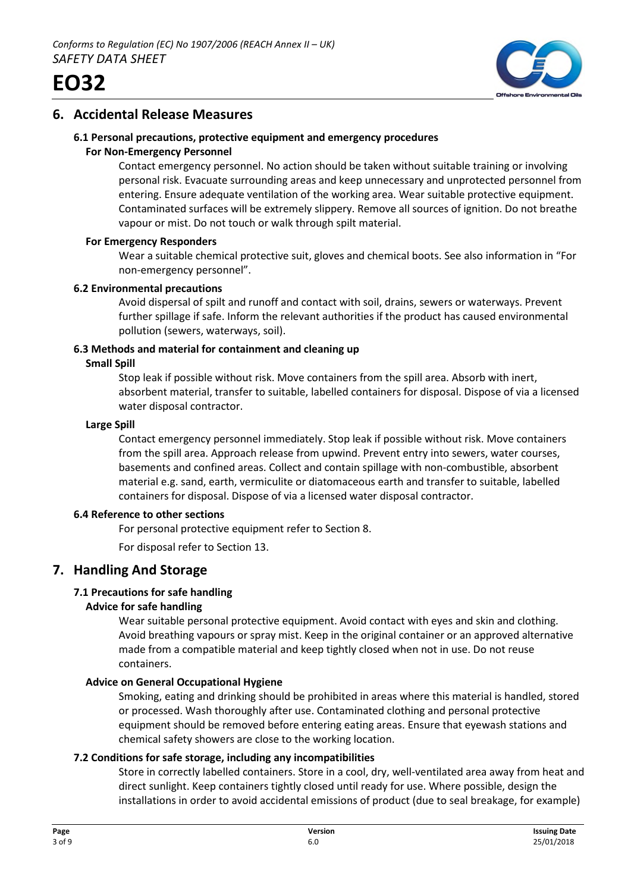



# **6. Accidental Release Measures**

## **6.1 Personal precautions, protective equipment and emergency procedures**

#### **For Non-Emergency Personnel**

Contact emergency personnel. No action should be taken without suitable training or involving personal risk. Evacuate surrounding areas and keep unnecessary and unprotected personnel from entering. Ensure adequate ventilation of the working area. Wear suitable protective equipment. Contaminated surfaces will be extremely slippery. Remove all sources of ignition. Do not breathe vapour or mist. Do not touch or walk through spilt material.

#### **For Emergency Responders**

Wear a suitable chemical protective suit, gloves and chemical boots. See also information in "For non-emergency personnel".

#### **6.2 Environmental precautions**

Avoid dispersal of spilt and runoff and contact with soil, drains, sewers or waterways. Prevent further spillage if safe. Inform the relevant authorities if the product has caused environmental pollution (sewers, waterways, soil).

# **6.3 Methods and material for containment and cleaning up**

#### **Small Spill**

Stop leak if possible without risk. Move containers from the spill area. Absorb with inert, absorbent material, transfer to suitable, labelled containers for disposal. Dispose of via a licensed water disposal contractor.

#### **Large Spill**

Contact emergency personnel immediately. Stop leak if possible without risk. Move containers from the spill area. Approach release from upwind. Prevent entry into sewers, water courses, basements and confined areas. Collect and contain spillage with non-combustible, absorbent material e.g. sand, earth, vermiculite or diatomaceous earth and transfer to suitable, labelled containers for disposal. Dispose of via a licensed water disposal contractor.

#### **6.4 Reference to other sections**

For personal protective equipment refer to Section 8.

For disposal refer to Section 13.

# **7. Handling And Storage**

## **7.1 Precautions for safe handling**

## **Advice for safe handling**

Wear suitable personal protective equipment. Avoid contact with eyes and skin and clothing. Avoid breathing vapours or spray mist. Keep in the original container or an approved alternative made from a compatible material and keep tightly closed when not in use. Do not reuse containers.

## **Advice on General Occupational Hygiene**

Smoking, eating and drinking should be prohibited in areas where this material is handled, stored or processed. Wash thoroughly after use. Contaminated clothing and personal protective equipment should be removed before entering eating areas. Ensure that eyewash stations and chemical safety showers are close to the working location.

## **7.2 Conditions for safe storage, including any incompatibilities**

Store in correctly labelled containers. Store in a cool, dry, well-ventilated area away from heat and direct sunlight. Keep containers tightly closed until ready for use. Where possible, design the installations in order to avoid accidental emissions of product (due to seal breakage, for example)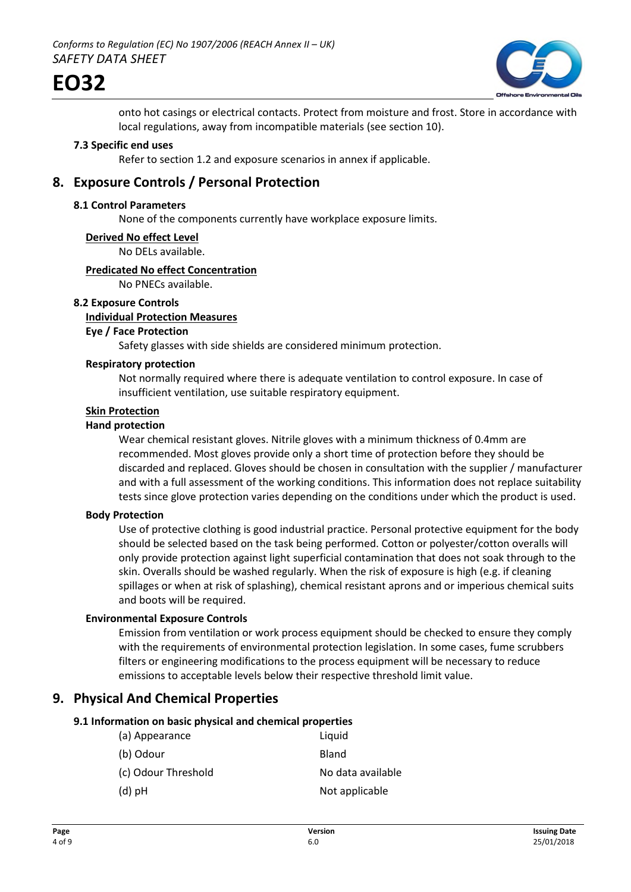

onto hot casings or electrical contacts. Protect from moisture and frost. Store in accordance with local regulations, away from incompatible materials (see section 10).

#### **7.3 Specific end uses**

Refer to section 1.2 and exposure scenarios in annex if applicable.

# **8. Exposure Controls / Personal Protection**

#### **8.1 Control Parameters**

None of the components currently have workplace exposure limits.

#### **Derived No effect Level**

No DELs available.

#### **Predicated No effect Concentration**

No PNECs available.

#### **8.2 Exposure Controls**

#### **Individual Protection Measures**

#### **Eye / Face Protection**

Safety glasses with side shields are considered minimum protection.

## **Respiratory protection**

Not normally required where there is adequate ventilation to control exposure. In case of insufficient ventilation, use suitable respiratory equipment.

# **Skin Protection**

#### **Hand protection**

Wear chemical resistant gloves. Nitrile gloves with a minimum thickness of 0.4mm are recommended. Most gloves provide only a short time of protection before they should be discarded and replaced. Gloves should be chosen in consultation with the supplier / manufacturer and with a full assessment of the working conditions. This information does not replace suitability tests since glove protection varies depending on the conditions under which the product is used.

#### **Body Protection**

Use of protective clothing is good industrial practice. Personal protective equipment for the body should be selected based on the task being performed. Cotton or polyester/cotton overalls will only provide protection against light superficial contamination that does not soak through to the skin. Overalls should be washed regularly. When the risk of exposure is high (e.g. if cleaning spillages or when at risk of splashing), chemical resistant aprons and or imperious chemical suits and boots will be required.

#### **Environmental Exposure Controls**

Emission from ventilation or work process equipment should be checked to ensure they comply with the requirements of environmental protection legislation. In some cases, fume scrubbers filters or engineering modifications to the process equipment will be necessary to reduce emissions to acceptable levels below their respective threshold limit value.

# **9. Physical And Chemical Properties**

#### **9.1 Information on basic physical and chemical properties**

| (a) Appearance      | Liquid            |
|---------------------|-------------------|
| (b) Odour           | Bland             |
| (c) Odour Threshold | No data available |
| $(d)$ pH            | Not applicable    |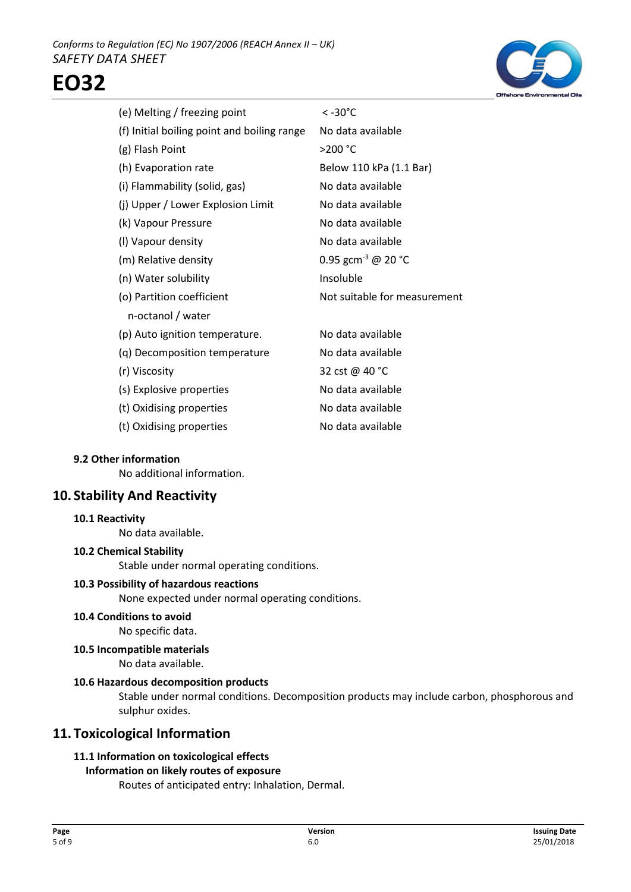

| (e) Melting / freezing point                | $< -30^{\circ}$ C              |
|---------------------------------------------|--------------------------------|
| (f) Initial boiling point and boiling range | No data available              |
| (g) Flash Point                             | >200 °C                        |
| (h) Evaporation rate                        | Below 110 kPa (1.1 Bar)        |
| (i) Flammability (solid, gas)               | No data available              |
| (j) Upper / Lower Explosion Limit           | No data available              |
| (k) Vapour Pressure                         | No data available              |
| (I) Vapour density                          | No data available              |
| (m) Relative density                        | 0.95 gcm <sup>-3</sup> @ 20 °C |
| (n) Water solubility                        | Insoluble                      |
| (o) Partition coefficient                   | Not suitable for measurement   |
| n-octanol / water                           |                                |
| (p) Auto ignition temperature.              | No data available              |
| (g) Decomposition temperature               | No data available              |
| (r) Viscosity                               | 32 cst @ 40 °C                 |
| (s) Explosive properties                    | No data available              |
| (t) Oxidising properties                    | No data available              |
| (t) Oxidising properties                    | No data available              |
|                                             |                                |

#### **9.2 Other information**

No additional information.

# **10. Stability And Reactivity**

#### **10.1 Reactivity**

No data available.

## **10.2 Chemical Stability**

Stable under normal operating conditions.

#### **10.3 Possibility of hazardous reactions**

None expected under normal operating conditions.

#### **10.4 Conditions to avoid**

No specific data.

## **10.5 Incompatible materials**

No data available.

## **10.6 Hazardous decomposition products**

Stable under normal conditions. Decomposition products may include carbon, phosphorous and sulphur oxides.

# **11. Toxicological Information**

# **11.1 Information on toxicological effects**

## **Information on likely routes of exposure**

Routes of anticipated entry: Inhalation, Dermal.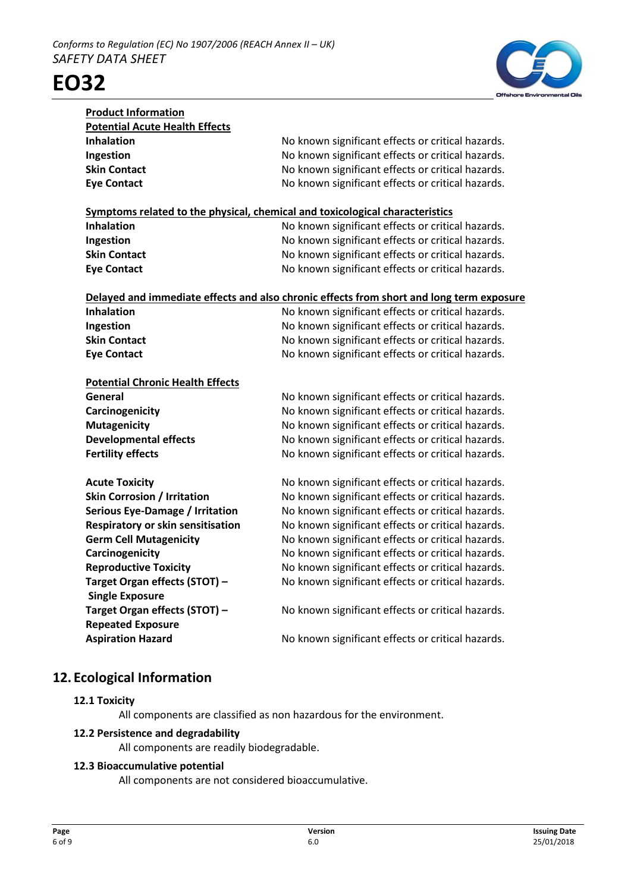

| <b>Product Information</b>                                                   |                                                                                          |  |
|------------------------------------------------------------------------------|------------------------------------------------------------------------------------------|--|
| <b>Potential Acute Health Effects</b>                                        |                                                                                          |  |
| <b>Inhalation</b>                                                            | No known significant effects or critical hazards.                                        |  |
| Ingestion                                                                    | No known significant effects or critical hazards.                                        |  |
| <b>Skin Contact</b>                                                          | No known significant effects or critical hazards.                                        |  |
| <b>Eye Contact</b>                                                           | No known significant effects or critical hazards.                                        |  |
|                                                                              |                                                                                          |  |
| Symptoms related to the physical, chemical and toxicological characteristics |                                                                                          |  |
| <b>Inhalation</b>                                                            | No known significant effects or critical hazards.                                        |  |
| Ingestion                                                                    | No known significant effects or critical hazards.                                        |  |
| <b>Skin Contact</b>                                                          | No known significant effects or critical hazards.                                        |  |
| <b>Eye Contact</b>                                                           | No known significant effects or critical hazards.                                        |  |
|                                                                              |                                                                                          |  |
|                                                                              | Delayed and immediate effects and also chronic effects from short and long term exposure |  |
| <b>Inhalation</b>                                                            | No known significant effects or critical hazards.                                        |  |
| Ingestion                                                                    | No known significant effects or critical hazards.                                        |  |
| <b>Skin Contact</b>                                                          | No known significant effects or critical hazards.                                        |  |
| <b>Eye Contact</b>                                                           | No known significant effects or critical hazards.                                        |  |
|                                                                              |                                                                                          |  |
| <b>Potential Chronic Health Effects</b>                                      |                                                                                          |  |
| General                                                                      | No known significant effects or critical hazards.                                        |  |
| Carcinogenicity                                                              | No known significant effects or critical hazards.                                        |  |
| <b>Mutagenicity</b>                                                          | No known significant effects or critical hazards.                                        |  |
| <b>Developmental effects</b>                                                 | No known significant effects or critical hazards.                                        |  |
| <b>Fertility effects</b>                                                     | No known significant effects or critical hazards.                                        |  |
|                                                                              |                                                                                          |  |
| <b>Acute Toxicity</b>                                                        | No known significant effects or critical hazards.                                        |  |
| <b>Skin Corrosion / Irritation</b>                                           | No known significant effects or critical hazards.                                        |  |
| <b>Serious Eye-Damage / Irritation</b>                                       | No known significant effects or critical hazards.                                        |  |
| Respiratory or skin sensitisation                                            | No known significant effects or critical hazards.                                        |  |
| <b>Germ Cell Mutagenicity</b>                                                | No known significant effects or critical hazards.                                        |  |
| Carcinogenicity                                                              | No known significant effects or critical hazards.                                        |  |
| <b>Reproductive Toxicity</b>                                                 | No known significant effects or critical hazards.                                        |  |
| Target Organ effects (STOT) -                                                | No known significant effects or critical hazards.                                        |  |
| <b>Single Exposure</b>                                                       |                                                                                          |  |
| Target Organ effects (STOT) -                                                | No known significant effects or critical hazards.                                        |  |
| <b>Repeated Exposure</b>                                                     |                                                                                          |  |
| <b>Aspiration Hazard</b>                                                     | No known significant effects or critical hazards.                                        |  |
|                                                                              |                                                                                          |  |

# **12. Ecological Information**

## **12.1 Toxicity**

All components are classified as non hazardous for the environment.

## **12.2 Persistence and degradability**

All components are readily biodegradable.

## **12.3 Bioaccumulative potential**

All components are not considered bioaccumulative.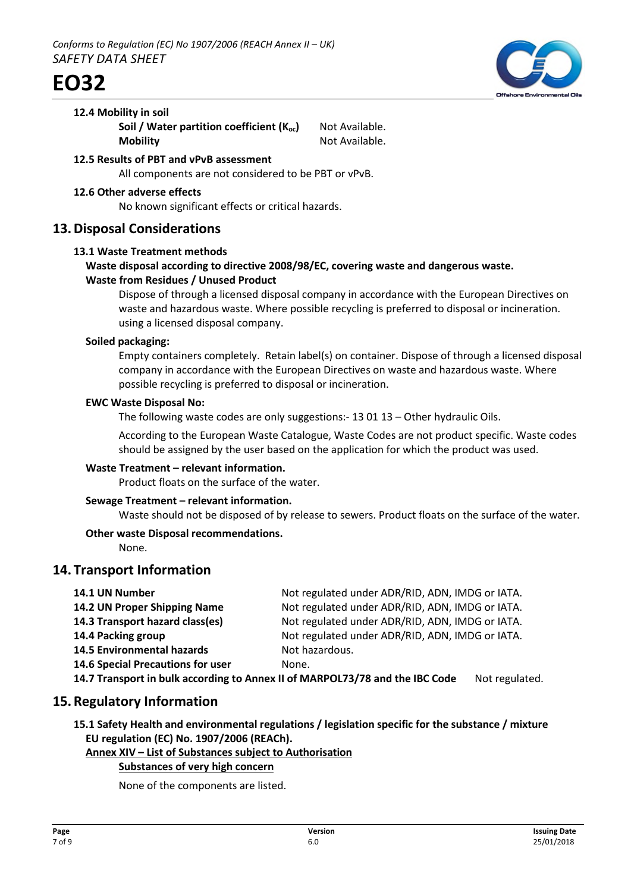

#### **12.4 Mobility in soil**

**Soil / Water partition coefficient (K<sub>oc</sub>)** Not Available. **Mobility** Not Available.

- **12.5 Results of PBT and vPvB assessment** All components are not considered to be PBT or vPvB.
- **12.6 Other adverse effects**

No known significant effects or critical hazards.

# **13.Disposal Considerations**

#### **13.1 Waste Treatment methods**

## **Waste disposal according to directive 2008/98/EC, covering waste and dangerous waste. Waste from Residues / Unused Product**

Dispose of through a licensed disposal company in accordance with the European Directives on waste and hazardous waste. Where possible recycling is preferred to disposal or incineration. using a licensed disposal company.

#### **Soiled packaging:**

Empty containers completely. Retain label(s) on container. Dispose of through a licensed disposal company in accordance with the European Directives on waste and hazardous waste. Where possible recycling is preferred to disposal or incineration.

#### **EWC Waste Disposal No:**

The following waste codes are only suggestions:- 13 01 13 – Other hydraulic Oils.

According to the European Waste Catalogue, Waste Codes are not product specific. Waste codes should be assigned by the user based on the application for which the product was used.

## **Waste Treatment – relevant information.**

Product floats on the surface of the water.

## **Sewage Treatment – relevant information.**

Waste should not be disposed of by release to sewers. Product floats on the surface of the water.

## **Other waste Disposal recommendations.**

None.

# **14. Transport Information**

| 14.1 UN Number                                                               | Not regulated under ADR/RID, ADN, IMDG or IATA. |                |
|------------------------------------------------------------------------------|-------------------------------------------------|----------------|
| 14.2 UN Proper Shipping Name                                                 | Not regulated under ADR/RID, ADN, IMDG or IATA. |                |
| 14.3 Transport hazard class(es)                                              | Not regulated under ADR/RID, ADN, IMDG or IATA. |                |
| 14.4 Packing group                                                           | Not regulated under ADR/RID, ADN, IMDG or IATA. |                |
| <b>14.5 Environmental hazards</b>                                            | Not hazardous.                                  |                |
| 14.6 Special Precautions for user                                            | None.                                           |                |
| 14.7 Transport in bulk according to Annex II of MARPOL73/78 and the IBC Code |                                                 | Not regulated. |

# **15.Regulatory Information**

**15.1 Safety Health and environmental regulations / legislation specific for the substance / mixture EU regulation (EC) No. 1907/2006 (REACh).**

#### **Annex XIV – List of Substances subject to Authorisation**

## **Substances of very high concern**

None of the components are listed.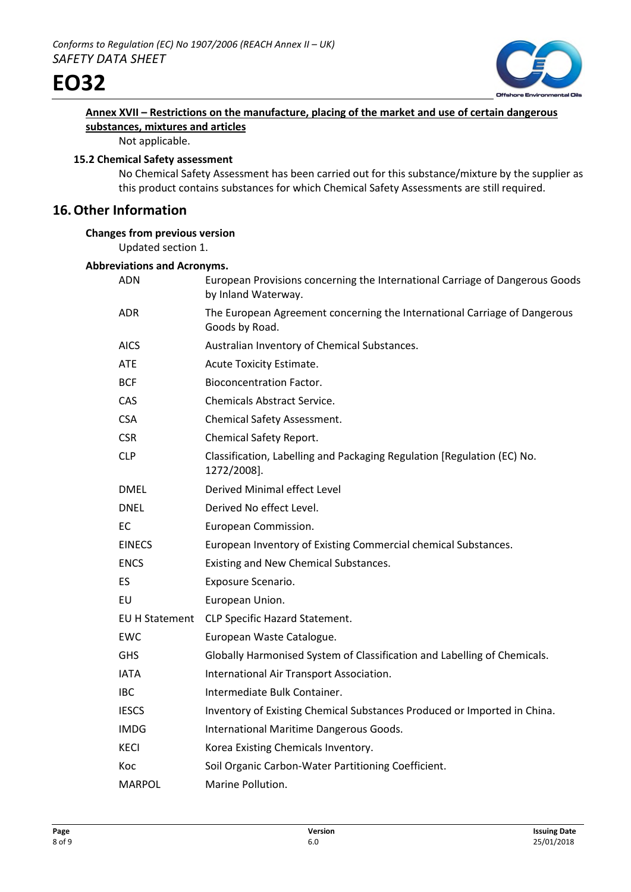



# **Annex XVII – Restrictions on the manufacture, placing of the market and use of certain dangerous substances, mixtures and articles**

Not applicable.

#### **15.2 Chemical Safety assessment**

No Chemical Safety Assessment has been carried out for this substance/mixture by the supplier as this product contains substances for which Chemical Safety Assessments are still required.

# **16.Other Information**

## **Changes from previous version**

Updated section 1.

#### **Abbreviations and Acronyms.**

| ADN            | European Provisions concerning the International Carriage of Dangerous Goods<br>by Inland Waterway. |
|----------------|-----------------------------------------------------------------------------------------------------|
| ADR.           | The European Agreement concerning the International Carriage of Dangerous<br>Goods by Road.         |
| <b>AICS</b>    | Australian Inventory of Chemical Substances.                                                        |
| <b>ATE</b>     | Acute Toxicity Estimate.                                                                            |
| <b>BCF</b>     | <b>Bioconcentration Factor.</b>                                                                     |
| <b>CAS</b>     | <b>Chemicals Abstract Service.</b>                                                                  |
| <b>CSA</b>     | <b>Chemical Safety Assessment.</b>                                                                  |
| <b>CSR</b>     | Chemical Safety Report.                                                                             |
| <b>CLP</b>     | Classification, Labelling and Packaging Regulation [Regulation (EC) No.<br>1272/2008].              |
| <b>DMEL</b>    | Derived Minimal effect Level                                                                        |
| <b>DNEL</b>    | Derived No effect Level.                                                                            |
| EC             | European Commission.                                                                                |
| <b>EINECS</b>  | European Inventory of Existing Commercial chemical Substances.                                      |
| <b>ENCS</b>    | Existing and New Chemical Substances.                                                               |
| ES             | Exposure Scenario.                                                                                  |
| EU             | European Union.                                                                                     |
| EU H Statement | CLP Specific Hazard Statement.                                                                      |
| EWC            | European Waste Catalogue.                                                                           |
| <b>GHS</b>     | Globally Harmonised System of Classification and Labelling of Chemicals.                            |
| <b>IATA</b>    | International Air Transport Association.                                                            |
| <b>IBC</b>     | Intermediate Bulk Container.                                                                        |
| <b>IESCS</b>   | Inventory of Existing Chemical Substances Produced or Imported in China.                            |
| <b>IMDG</b>    | International Maritime Dangerous Goods.                                                             |
| KECI           | Korea Existing Chemicals Inventory.                                                                 |
| Koc            | Soil Organic Carbon-Water Partitioning Coefficient.                                                 |
| <b>MARPOL</b>  | Marine Pollution.                                                                                   |
|                |                                                                                                     |